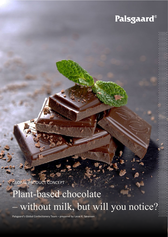## Palsgaard®

GLOBAL PRODUCT CONCEPT

# Plant-based chocolate without milk, but will you notice?

Palsgaard's Global Confectionery Team – prepared by Lasse K. Sørensen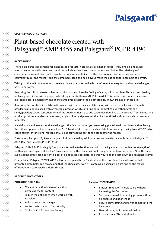

GLOBAL PRODUCT CONCEPT

### Plant-based chocolate created with Palsgaard® AMP 4455 and Palsgaard® PGPR 4190

#### **BACKGROUND**

There is an increasing demand for plant-based products in practically all kinds of foods – including a plant-based alternative to the well-known and delicious milk chocolate loved by consumers worldwide. The relatively soft consistency, nice meltdown and clean flavour release are defined by the mixture of cocoa butter, cocoa butter equivalent (CBE) and milk fat, and the combined cocoa and milk flavour make the eating experience next to perfect.

Taking out the milk components to create a plant-based alternative is therefore not an easy task and some challenges have to be solved.

Removing the milk fat creates a harder product and you lose the feeling of eating milk chocolate. This can be solved by replacing the milk fat with a proper milk fat replacer like Illexao VN 70 from AAK. This product will create the creamy milk-chocolate like meltdown and at the same time preserve the bloom stability known from milk chocolate.

Removing the non-fat milk solids (milk powder) will make the chocolate darker with a loss in milky taste. The milk powder has to be replaced with a vegetable product which can bring back the light colour without getting a sandy/powdery eating sensation. One of the good solutions is to add sweet rice flour like e.g. Nutrizmol from Beneo. This product provides a moderate sweetness, a light colour and preserves the nice mouthfeel without a sandy or powdery mouthfeel.

A well-known and very expensive challenge is the fact that when you are making plant-based chocolates and replacing the milk components, there is a need for 2 – 3 % extra fat to make the chocolate flow properly. Having to add 2-3% extra cocoa butter for functional reasons only, is basically adding cost to the product for no reason.

Fortunately, Palsgaard A/S has a unique solution to avoiding additional costs – namely the emulsifier duo Palsgaard® AMP 4455 and Palsgaard® PGPR 4190.

Palsgaard® AMP 4455 is a highly functional alternative to lecithin, and with it having more than double the strength of lecithin, you can replace at least 2-3% cocoa butter in the recipe, without changes in the flow properties. Or in this case, avoid adding extra cocoa butter to a bar of plant-based chocolate, and this way keep the cost down to a reasonable level.

Co-emulsifier Palsgaard® PGPR 4190 will reduce especially the Yield value of the chocolate. This will ensure that unwanted air bubbles can escape and that the chocolate, even if it contains inclusions will float and fill the mould efficiently to create a perfect desired shape.

#### **PRODUCT ADVANTAGES**

#### **Palsgaard® AMP 4455**

- Efficient reduction in viscosity without increasing the fat content
- Reduce the difficulties when working with inclusions
- Reduce production energy
- Neutral taste, uniform functionality
- Produced in a CO<sub>2</sub>-neutral factory

#### **Palsgaard® PGPR 4190**

- Efficient reduction in Yield value without increasing the fat content
- Secure a successful moulding process without air bubbles and poor shape
- Secure easy coating and fewer damages to the inclusions
- Neutral taste, uniform functionality
- Produced in a CO<sub>2</sub>-neutral factory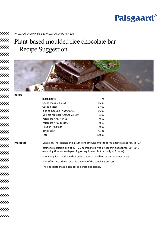### **Palsgaard**®

#### PALSGAARD® AMP 4455 & PALSGAARD® PGPR 4190

### Plant-based moulded rice chocolate bar – Recipe Suggestion



**Recipe**

| Ingredients                       | ℅      |
|-----------------------------------|--------|
| Cocoa mass (Ghana)                | 16.00  |
| Cocoa butter                      | 17.00  |
| Rice compound (Nutriz MOL)        | 16.00  |
| Milk fat replacer (Illexao VN 70) | 5.00   |
| Palsgaard® AMP 4455               | 0.50   |
| Palsgaard® PGPR 4190              | 0.10   |
| Flavour (Vanillin)                | 0.02   |
| Icing sugar                       | 45.38  |
| Total                             | 100.00 |

**Procedure** Mix all dry ingredients and a sufficient amount of fat to form a paste at approx. 45°C.\*

Refine to a particle size of 20 – 25 microns followed by conching at approx. 50 - 60°C (conching time varies depending on equipment but typically >12 hours)

Remaining fat is added either before start of conching or during the process.

Emulsifiers are added towards the end of the conching process.

The chocolate mass is tempered before depositing.